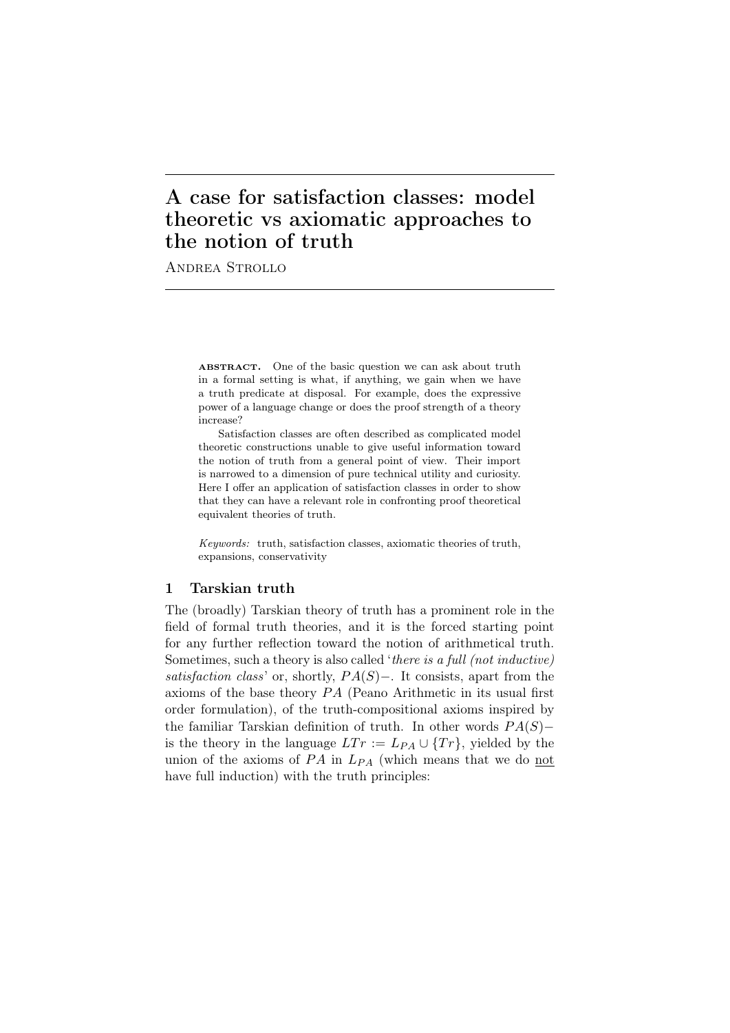# A case for satisfaction classes: model theoretic vs axiomatic approaches to the notion of truth

Andrea Strollo

ABSTRACT. One of the basic question we can ask about truth in a formal setting is what, if anything, we gain when we have a truth predicate at disposal. For example, does the expressive power of a language change or does the proof strength of a theory increase?

Satisfaction classes are often described as complicated model theoretic constructions unable to give useful information toward the notion of truth from a general point of view. Their import is narrowed to a dimension of pure technical utility and curiosity. Here I offer an application of satisfaction classes in order to show that they can have a relevant role in confronting proof theoretical equivalent theories of truth.

*Keywords:* truth, satisfaction classes, axiomatic theories of truth, expansions, conservativity

## 1 Tarskian truth

The (broadly) Tarskian theory of truth has a prominent role in the field of formal truth theories, and it is the forced starting point for any further reflection toward the notion of arithmetical truth. Sometimes, such a theory is also called '*there is a full (not inductive) satisfaction class*' or, shortly, *P A*(*S*)*−*. It consists, apart from the axioms of the base theory *P A* (Peano Arithmetic in its usual first order formulation), of the truth-compositional axioms inspired by the familiar Tarskian definition of truth. In other words *P A*(*S*)*−* is the theory in the language  $LTr := L_{PA} \cup \{Tr\}$ , yielded by the union of the axioms of  $PA$  in  $L_{PA}$  (which means that we do not have full induction) with the truth principles: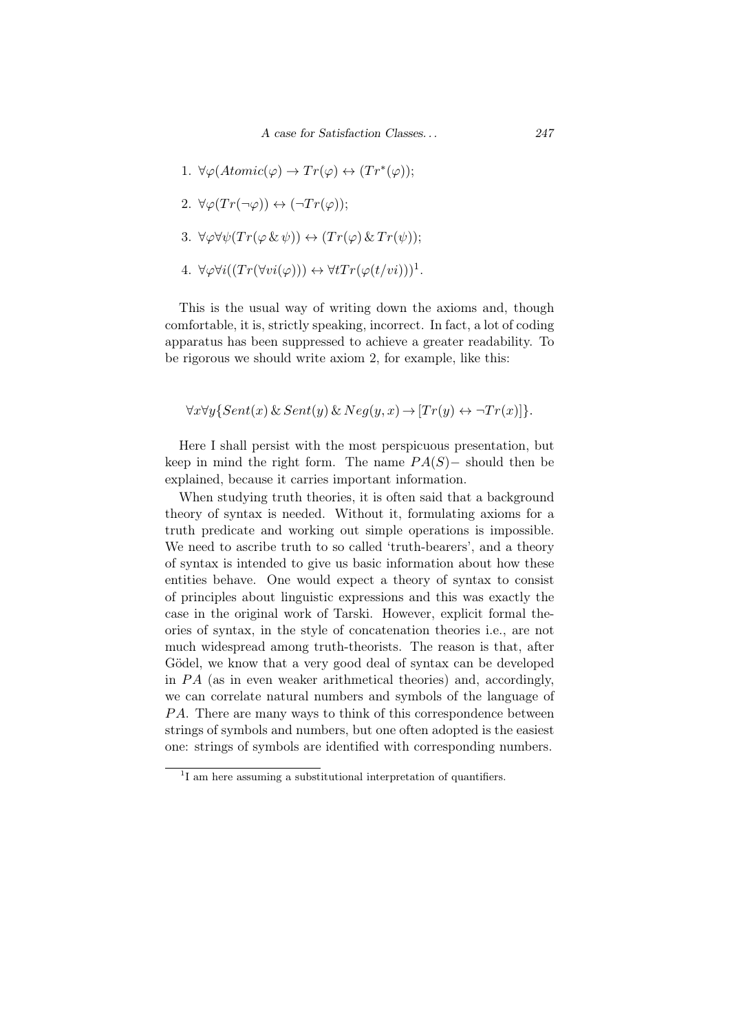- 1.  $\forall \varphi (Atomic(\varphi) \rightarrow Tr(\varphi) \leftrightarrow (Tr^*(\varphi));$
- 2.  $\forall \varphi(Tr(\neg \varphi)) \leftrightarrow (\neg Tr(\varphi));$
- 3.  $\forall \varphi \forall \psi (Tr(\varphi \& \psi)) \leftrightarrow (Tr(\varphi) \& Tr(\psi));$
- $4. \ \forall \varphi \forall i ((Tr(\forall vi(\varphi))) \leftrightarrow \forall t Tr(\varphi(t/vi)))^1.$

This is the usual way of writing down the axioms and, though comfortable, it is, strictly speaking, incorrect. In fact, a lot of coding apparatus has been suppressed to achieve a greater readability. To be rigorous we should write axiom 2, for example, like this:

$$
\forall x \forall y \{Sent(x) \& Sent(y) \& Neg(y,x) \rightarrow [Tr(y) \leftrightarrow \neg Tr(x)]\}.
$$

Here I shall persist with the most perspicuous presentation, but keep in mind the right form. The name  $PA(S)$  – should then be explained, because it carries important information.

When studying truth theories, it is often said that a background theory of syntax is needed. Without it, formulating axioms for a truth predicate and working out simple operations is impossible. We need to ascribe truth to so called 'truth-bearers', and a theory of syntax is intended to give us basic information about how these entities behave. One would expect a theory of syntax to consist of principles about linguistic expressions and this was exactly the case in the original work of Tarski. However, explicit formal theories of syntax, in the style of concatenation theories i.e., are not much widespread among truth-theorists. The reason is that, after Gödel, we know that a very good deal of syntax can be developed in *P A* (as in even weaker arithmetical theories) and, accordingly, we can correlate natural numbers and symbols of the language of *PA*. There are many ways to think of this correspondence between strings of symbols and numbers, but one often adopted is the easiest one: strings of symbols are identified with corresponding numbers.

<sup>&</sup>lt;sup>1</sup>I am here assuming a substitutional interpretation of quantifiers.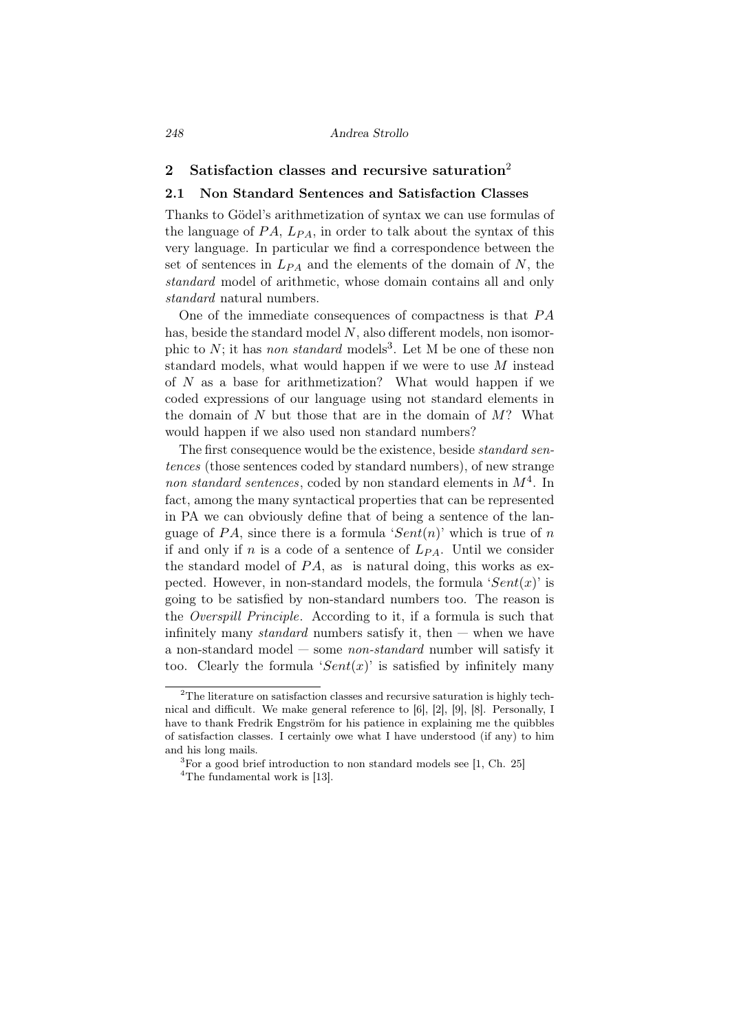#### *248 Andrea Strollo*

## 2 Satisfaction classes and recursive saturation<sup>2</sup>

### 2.1 Non Standard Sentences and Satisfaction Classes

Thanks to Gödel's arithmetization of syntax we can use formulas of the language of  $PA$ ,  $L_{PA}$ , in order to talk about the syntax of this very language. In particular we find a correspondence between the set of sentences in  $L_{PA}$  and the elements of the domain of *N*, the *standard* model of arithmetic, whose domain contains all and only *standard* natural numbers.

One of the immediate consequences of compactness is that *P A* has, beside the standard model *N*, also different models, non isomorphic to *N*; it has *non standard* models<sup>3</sup>. Let M be one of these non standard models, what would happen if we were to use *M* instead of *N* as a base for arithmetization? What would happen if we coded expressions of our language using not standard elements in the domain of *N* but those that are in the domain of *M*? What would happen if we also used non standard numbers?

The first consequence would be the existence, beside *standard sentences* (those sentences coded by standard numbers), of new strange *non standard sentences*, coded by non standard elements in *M*<sup>4</sup> . In fact, among the many syntactical properties that can be represented in PA we can obviously define that of being a sentence of the language of  $PA$ , since there is a formula ' $Sent(n)$ ' which is true of *n* if and only if *n* is a code of a sentence of *LP A*. Until we consider the standard model of  $PA$ , as is natural doing, this works as expected. However, in non-standard models, the formula ' $Sent(x)$ ' is going to be satisfied by non-standard numbers too. The reason is the *Overspill Principle*. According to it, if a formula is such that infinitely many *standard* numbers satisfy it, then — when we have a non-standard model — some *non-standard* number will satisfy it too. Clearly the formula ' $Sent(x)$ ' is satisfied by infinitely many

<sup>&</sup>lt;sup>2</sup>The literature on satisfaction classes and recursive saturation is highly technical and difficult. We make general reference to [6], [2], [9], [8]. Personally, I have to thank Fredrik Engström for his patience in explaining me the quibbles of satisfaction classes. I certainly owe what I have understood (if any) to him and his long mails.

 ${}^{3}$ For a good brief introduction to non standard models see [1, Ch. 25]

<sup>&</sup>lt;sup>4</sup>The fundamental work is  $[13]$ .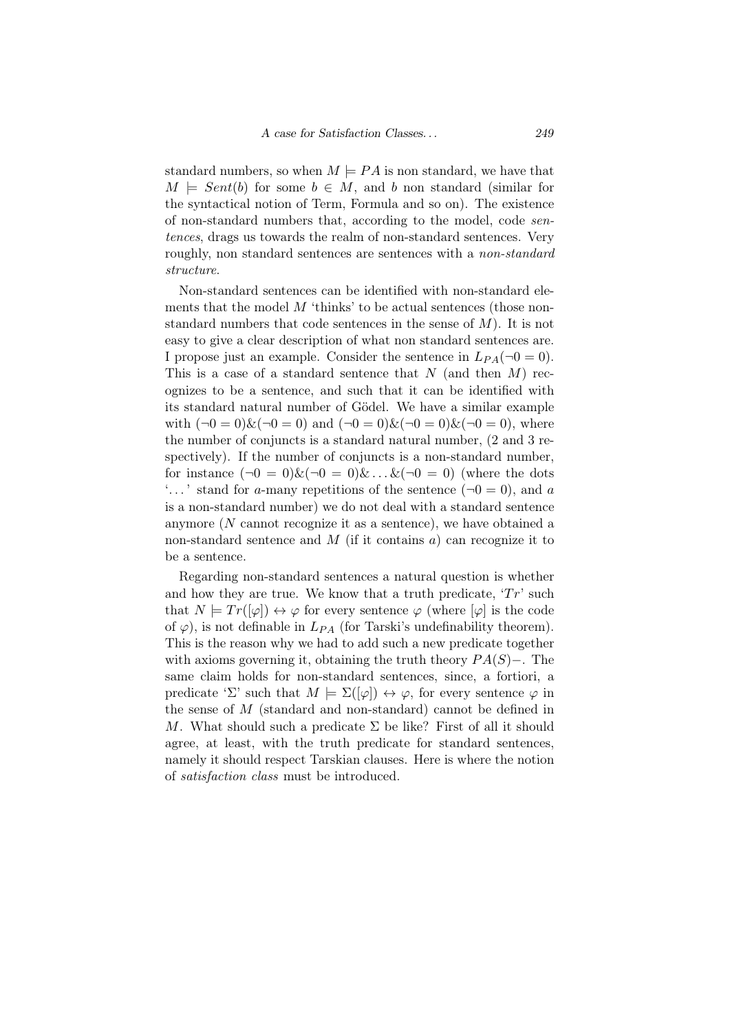standard numbers, so when  $M \models PA$  is non standard, we have that  $M \models Sent(b)$  for some  $b \in M$ , and *b* non standard (similar for the syntactical notion of Term, Formula and so on). The existence of non-standard numbers that, according to the model, code *sentences*, drags us towards the realm of non-standard sentences. Very roughly, non standard sentences are sentences with a *non-standard structure*.

Non-standard sentences can be identified with non-standard elements that the model M 'thinks' to be actual sentences (those nonstandard numbers that code sentences in the sense of *M*). It is not easy to give a clear description of what non standard sentences are. I propose just an example. Consider the sentence in  $L_{PA}(\neg 0 = 0)$ . This is a case of a standard sentence that *N* (and then *M*) recognizes to be a sentence, and such that it can be identified with its standard natural number of Gödel. We have a similar example with  $(\neg 0 = 0) \& (\neg 0 = 0)$  and  $(\neg 0 = 0) \& (\neg 0 = 0) \& (\neg 0 = 0)$ , where the number of conjuncts is a standard natural number, (2 and 3 respectively). If the number of conjuncts is a non-standard number, for instance  $(\neg 0 = 0) \& (\neg 0 = 0) \& \dots \& (\neg 0 = 0)$  (where the dots  $\ldots$  stand for *a*-many repetitions of the sentence ( $\neg 0 = 0$ ), and *a* is a non-standard number) we do not deal with a standard sentence anymore (*N* cannot recognize it as a sentence), we have obtained a non-standard sentence and *M* (if it contains *a*) can recognize it to be a sentence.

Regarding non-standard sentences a natural question is whether and how they are true. We know that a truth predicate,  $Tr'$  such that  $N \models Tr([\varphi]) \leftrightarrow \varphi$  for every sentence  $\varphi$  (where  $[\varphi]$  is the code of  $\varphi$ ), is not definable in  $L_{PA}$  (for Tarski's undefinability theorem). This is the reason why we had to add such a new predicate together with axioms governing it, obtaining the truth theory *P A*(*S*)*−*. The same claim holds for non-standard sentences, since, a fortiori, a predicate ' $\Sigma$ ' such that  $M \models \Sigma([\varphi]) \leftrightarrow \varphi$ , for every sentence  $\varphi$  in the sense of *M* (standard and non-standard) cannot be defined in *M*. What should such a predicate  $\Sigma$  be like? First of all it should agree, at least, with the truth predicate for standard sentences, namely it should respect Tarskian clauses. Here is where the notion of *satisfaction class* must be introduced.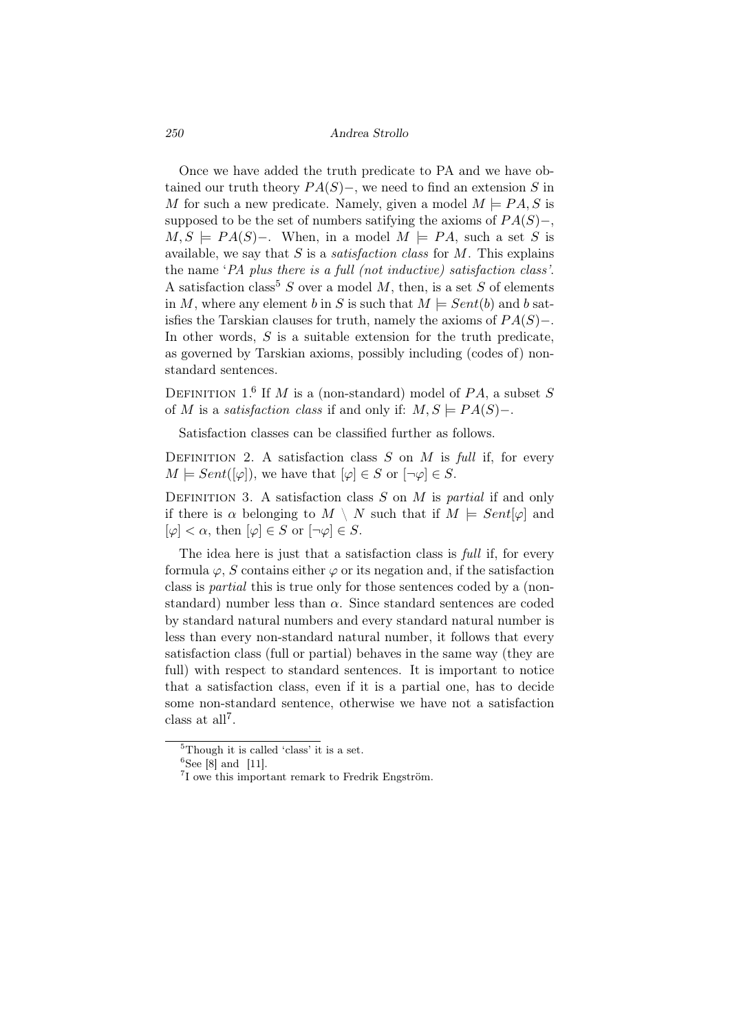*250 Andrea Strollo*

Once we have added the truth predicate to PA and we have obtained our truth theory *P A*(*S*)*−*, we need to find an extension *S* in *M* for such a new predicate. Namely, given a model  $M \models PA$ , S is supposed to be the set of numbers satifying the axioms of  $PA(S)$ –,  $M, S \models PA(S)$ −. When, in a model  $M \models PA$ , such a set *S* is available, we say that *S* is a *satisfaction class* for *M*. This explains the name '*PA plus there is a full (not inductive) satisfaction class'*. A satisfaction class<sup>5</sup> *S* over a model *M*, then, is a set *S* of elements in *M*, where any element *b* in *S* is such that  $M \models Sent(b)$  and *b* satisfies the Tarskian clauses for truth, namely the axioms of *P A*(*S*)*−*. In other words, *S* is a suitable extension for the truth predicate, as governed by Tarskian axioms, possibly including (codes of) nonstandard sentences.

DEFINITION 1.<sup>6</sup> If *M* is a (non-standard) model of  $PA$ , a subset *S* of *M* is a *satisfaction class* if and only if:  $M, S \models PA(S)$ -.

Satisfaction classes can be classified further as follows.

DEFINITION 2. A satisfaction class  $S$  on  $M$  is *full* if, for every  $M \models Sent([\varphi]),$  we have that  $[\varphi] \in S$  or  $[\neg \varphi] \in S$ .

Definition 3. A satisfaction class *S* on *M* is *partial* if and only if there is  $\alpha$  belonging to  $M \setminus N$  such that if  $M \models Sent[\varphi]$  and  $[\varphi] < \alpha$ , then  $[\varphi] \in S$  or  $[\neg \varphi] \in S$ .

The idea here is just that a satisfaction class is *full* if, for every formula  $\varphi$ , *S* contains either  $\varphi$  or its negation and, if the satisfaction class is *partial* this is true only for those sentences coded by a (nonstandard) number less than  $\alpha$ . Since standard sentences are coded by standard natural numbers and every standard natural number is less than every non-standard natural number, it follows that every satisfaction class (full or partial) behaves in the same way (they are full) with respect to standard sentences. It is important to notice that a satisfaction class, even if it is a partial one, has to decide some non-standard sentence, otherwise we have not a satisfaction class at all<sup>7</sup>.

 ${}^{5}$ Though it is called 'class' it is a set.

 ${}^{6}$ See [8] and [11].

 ${}^{7}$ I owe this important remark to Fredrik Engström.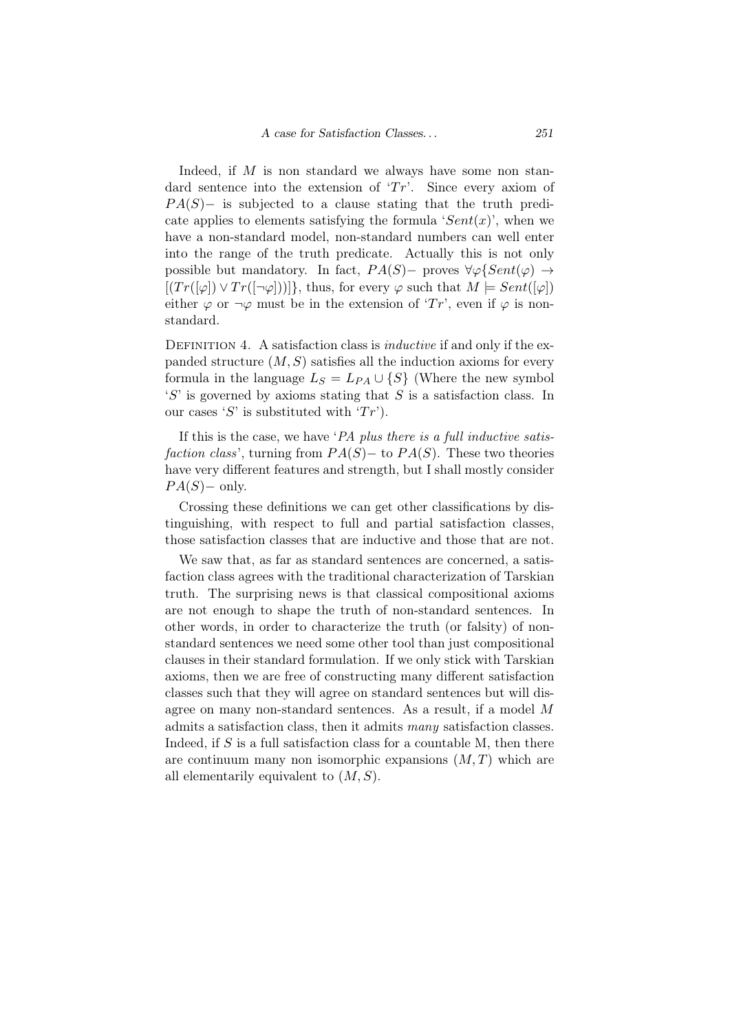Indeed, if *M* is non standard we always have some non standard sentence into the extension of '*Tr*'. Since every axiom of *PA*(*S*)− is subjected to a clause stating that the truth predicate applies to elements satisfying the formula ' $Sent(x)$ ', when we have a non-standard model, non-standard numbers can well enter into the range of the truth predicate. Actually this is not only possible but mandatory. In fact,  $PA(S)$ − proves  $\forall \varphi \{Sent(\varphi) \rightarrow \varphi \}$  $[(Tr([\varphi]) \vee Tr(\neg \varphi]))]$ , thus, for every  $\varphi$  such that  $M \models Sent([\varphi])$ either  $\varphi$  or  $\neg \varphi$  must be in the extension of '*Tr*', even if  $\varphi$  is nonstandard.

Definition 4. A satisfaction class is *inductive* if and only if the expanded structure  $(M, S)$  satisfies all the induction axioms for every formula in the language  $L_S = L_{PA} \cup \{S\}$  (Where the new symbol '*S*' is governed by axioms stating that *S* is a satisfaction class. In our cases '*S*' is substituted with ' $Tr$ ').

If this is the case, we have '*PA plus there is a full inductive satisfaction class*', turning from  $PA(S)$  – to  $PA(S)$ . These two theories have very different features and strength, but I shall mostly consider *PA*(*S*)− only.

Crossing these definitions we can get other classifications by distinguishing, with respect to full and partial satisfaction classes, those satisfaction classes that are inductive and those that are not.

We saw that, as far as standard sentences are concerned, a satisfaction class agrees with the traditional characterization of Tarskian truth. The surprising news is that classical compositional axioms are not enough to shape the truth of non-standard sentences. In other words, in order to characterize the truth (or falsity) of nonstandard sentences we need some other tool than just compositional clauses in their standard formulation. If we only stick with Tarskian axioms, then we are free of constructing many different satisfaction classes such that they will agree on standard sentences but will disagree on many non-standard sentences. As a result, if a model *M* admits a satisfaction class, then it admits *many* satisfaction classes. Indeed, if *S* is a full satisfaction class for a countable M, then there are continuum many non isomorphic expansions (*M, T*) which are all elementarily equivalent to (*M, S*).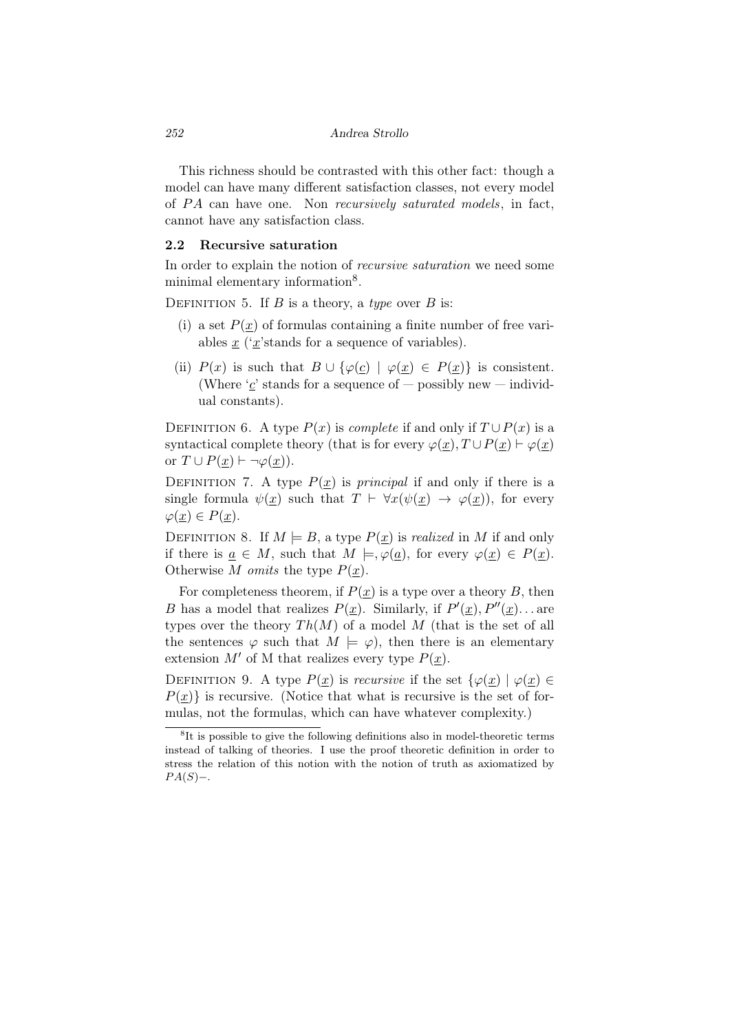This richness should be contrasted with this other fact: though a model can have many different satisfaction classes, not every model of *P A* can have one. Non *recursively saturated models*, in fact, cannot have any satisfaction class.

#### 2.2 Recursive saturation

In order to explain the notion of *recursive saturation* we need some minimal elementary information<sup>8</sup>.

DEFINITION 5. If  $B$  is a theory, a *type* over  $B$  is:

- (i) a set  $P(x)$  of formulas containing a finite number of free variables *x* ('*x*'stands for a sequence of variables).
- (ii)  $P(x)$  is such that  $B \cup {\varphi(x) \mid \varphi(x) \in P(x)}$  is consistent. (Where  $\alpha'$  stands for a sequence of  $-$  possibly new  $-$  individual constants).

DEFINITION 6. A type  $P(x)$  is *complete* if and only if  $T \cup P(x)$  is a syntactical complete theory (that is for every  $\varphi(\underline{x}), T \cup P(\underline{x}) \vdash \varphi(\underline{x})$ or  $T \cup P(\underline{x}) \vdash \neg \varphi(\underline{x})$ .

DEFINITION 7. A type  $P(\underline{x})$  is *principal* if and only if there is a single formula  $\psi(\underline{x})$  such that  $T \vdash \forall x(\psi(\underline{x}) \rightarrow \varphi(\underline{x}))$ , for every  $\varphi(\underline{x}) \in P(\underline{x}).$ 

DEFINITION 8. If  $M \models B$ , a type  $P(\underline{x})$  is *realized* in M if and only if there is  $\underline{a} \in M$ , such that  $M \models, \varphi(\underline{a})$ , for every  $\varphi(\underline{x}) \in P(\underline{x})$ . Otherwise *M omits* the type *P*(*x*).

For completeness theorem, if  $P(\underline{x})$  is a type over a theory *B*, then *B* has a model that realizes  $P(\underline{x})$ . Similarly, if  $P'(\underline{x})$ ,  $P''(\underline{x})$ ... are types over the theory  $Th(M)$  of a model M (that is the set of all the sentences  $\varphi$  such that  $M \models \varphi$ , then there is an elementary extension  $M'$  of M that realizes every type  $P(x)$ .

DEFINITION 9. A type  $P(\underline{x})$  is *recursive* if the set  $\{\varphi(\underline{x}) | \varphi(\underline{x}) \in$  $P(x)$  is recursive. (Notice that what is recursive is the set of formulas, not the formulas, which can have whatever complexity.)

<sup>&</sup>lt;sup>8</sup>It is possible to give the following definitions also in model-theoretic terms instead of talking of theories. I use the proof theoretic definition in order to stress the relation of this notion with the notion of truth as axiomatized by *PA*(*S*)−.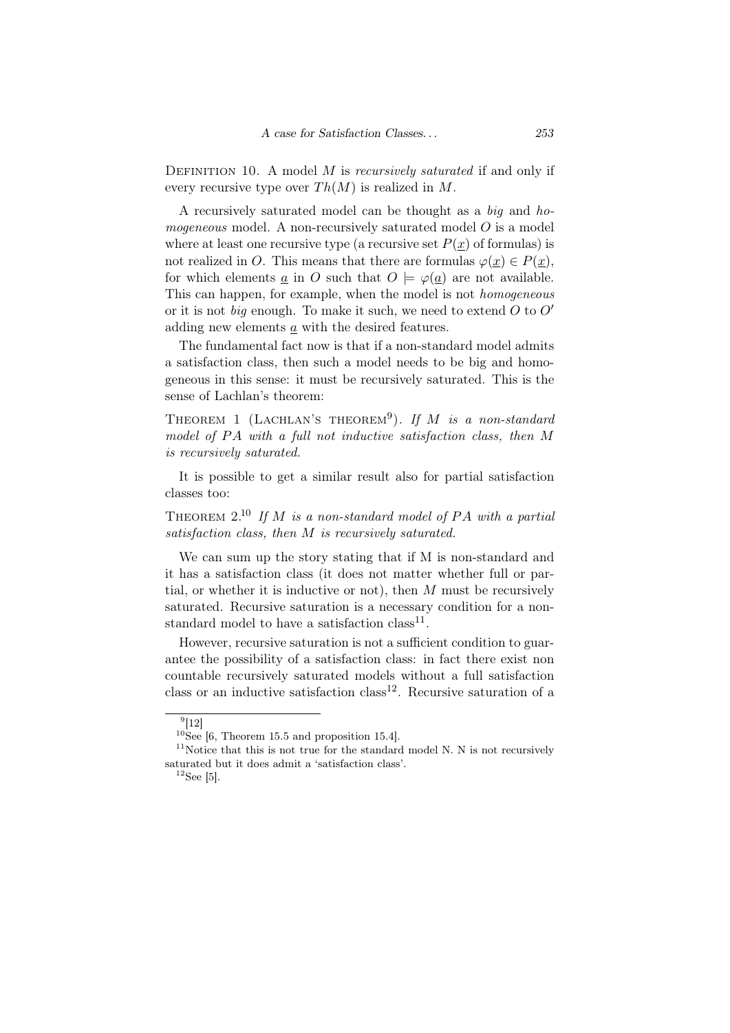Definition 10. A model *M* is *recursively saturated* if and only if every recursive type over  $Th(M)$  is realized in M.

A recursively saturated model can be thought as a *big* and *homogeneous* model. A non-recursively saturated model *O* is a model where at least one recursive type (a recursive set  $P(x)$  of formulas) is not realized in *O*. This means that there are formulas  $\varphi(x) \in P(x)$ , for which elements *a* in *O* such that  $O \models \varphi(a)$  are not available. This can happen, for example, when the model is not *homogeneous* or it is not *big* enough. To make it such, we need to extend *O* to *O′* adding new elements *a* with the desired features.

The fundamental fact now is that if a non-standard model admits a satisfaction class, then such a model needs to be big and homogeneous in this sense: it must be recursively saturated. This is the sense of Lachlan's theorem:

THEOREM 1 (LACHLAN'S THEOREM<sup>9</sup>). If M is a non-standard *model of P A with a full not inductive satisfaction class, then M is recursively saturated.*

It is possible to get a similar result also for partial satisfaction classes too:

Theorem 2.<sup>10</sup> *If M is a non-standard model of P A with a partial satisfaction class, then M is recursively saturated.*

We can sum up the story stating that if M is non-standard and it has a satisfaction class (it does not matter whether full or partial, or whether it is inductive or not), then *M* must be recursively saturated. Recursive saturation is a necessary condition for a nonstandard model to have a satisfaction class<sup>11</sup>.

However, recursive saturation is not a sufficient condition to guarantee the possibility of a satisfaction class: in fact there exist non countable recursively saturated models without a full satisfaction class or an inductive satisfaction class<sup>12</sup>. Recursive saturation of a

 $^{9}[12]$ 

 $10$ See [6, Theorem 15.5 and proposition 15.4].

 $11$ Notice that this is not true for the standard model N. N is not recursively saturated but it does admit a 'satisfaction class'.

 $12$ See [5].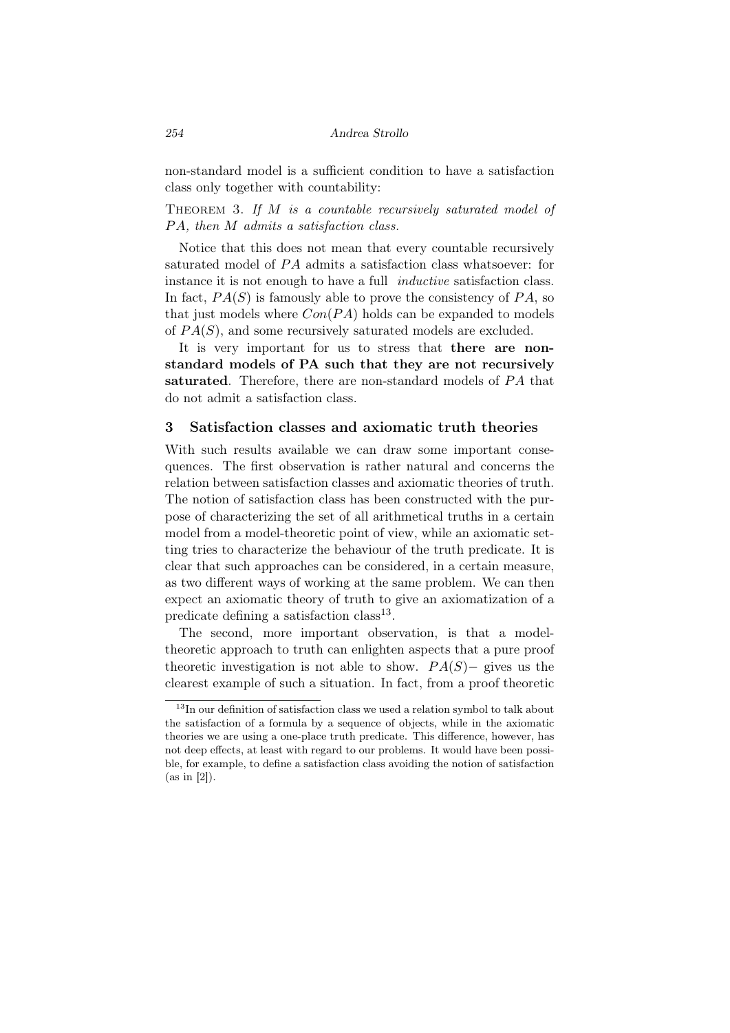non-standard model is a sufficient condition to have a satisfaction class only together with countability:

THEOREM 3. If *M* is a countable recursively saturated model of *P A, then M admits a satisfaction class.*

Notice that this does not mean that every countable recursively saturated model of *P A* admits a satisfaction class whatsoever: for instance it is not enough to have a full *inductive* satisfaction class. In fact,  $PA(S)$  is famously able to prove the consistency of  $PA$ , so that just models where *Con*(*P A*) holds can be expanded to models of *P A*(*S*), and some recursively saturated models are excluded.

It is very important for us to stress that there are nonstandard models of PA such that they are not recursively saturated. Therefore, there are non-standard models of *P A* that do not admit a satisfaction class.

## 3 Satisfaction classes and axiomatic truth theories

With such results available we can draw some important consequences. The first observation is rather natural and concerns the relation between satisfaction classes and axiomatic theories of truth. The notion of satisfaction class has been constructed with the purpose of characterizing the set of all arithmetical truths in a certain model from a model-theoretic point of view, while an axiomatic setting tries to characterize the behaviour of the truth predicate. It is clear that such approaches can be considered, in a certain measure, as two different ways of working at the same problem. We can then expect an axiomatic theory of truth to give an axiomatization of a predicate defining a satisfaction class<sup>13</sup>.

The second, more important observation, is that a modeltheoretic approach to truth can enlighten aspects that a pure proof theoretic investigation is not able to show.  $PA(S)$ − gives us the clearest example of such a situation. In fact, from a proof theoretic

 $^{13}{\rm In}$  our definition of satisfaction class we used a relation symbol to talk about the satisfaction of a formula by a sequence of objects, while in the axiomatic theories we are using a one-place truth predicate. This difference, however, has not deep effects, at least with regard to our problems. It would have been possible, for example, to define a satisfaction class avoiding the notion of satisfaction (as in [2]).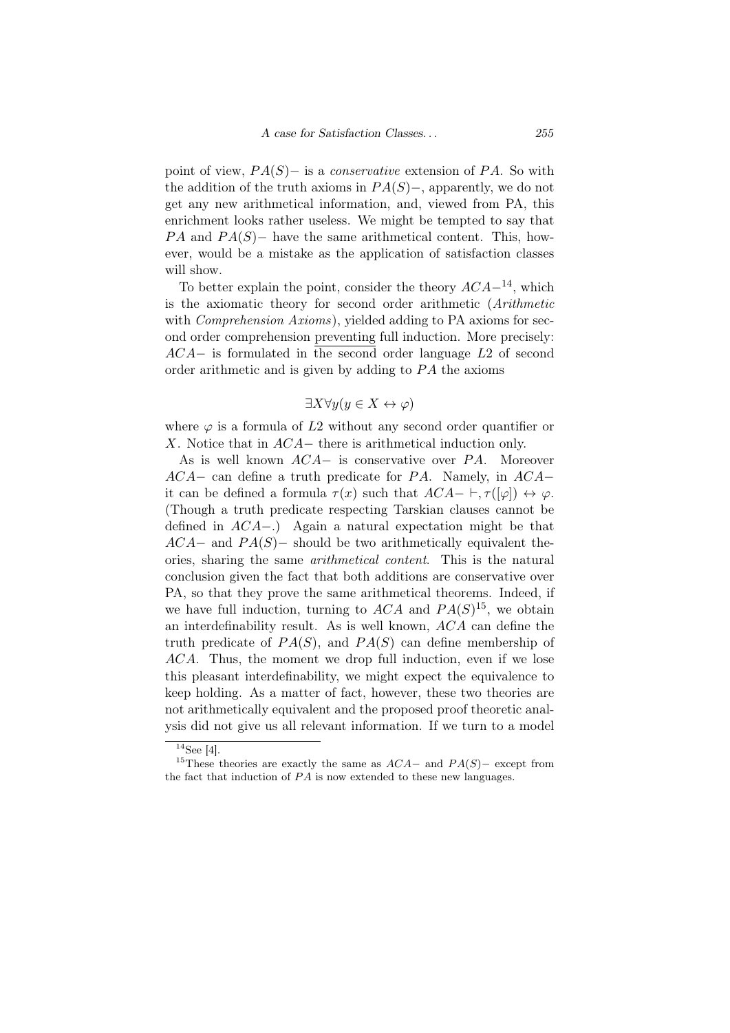point of view, *P A*(*S*)*−* is a *conservative* extension of *P A*. So with the addition of the truth axioms in *P A*(*S*)*−*, apparently, we do not get any new arithmetical information, and, viewed from PA, this enrichment looks rather useless. We might be tempted to say that *PA* and *PA*(*S*)− have the same arithmetical content. This, however, would be a mistake as the application of satisfaction classes will show.

To better explain the point, consider the theory *ACA−*14, which is the axiomatic theory for second order arithmetic (*Arithmetic* with *Comprehension Axioms*), yielded adding to PA axioms for second order comprehension preventing full induction. More precisely: *ACA−* is formulated in the second order language *L*2 of second order arithmetic and is given by adding to *P A* the axioms

## *∃X∀y*(*y ∈ X ↔ φ*)

where  $\varphi$  is a formula of  $L2$  without any second order quantifier or *X*. Notice that in *ACA−* there is arithmetical induction only.

As is well known *ACA−* is conservative over *P A*. Moreover *ACA−* can define a truth predicate for *P A*. Namely, in *ACA−* it can be defined a formula  $\tau(x)$  such that  $ACA- \vdash, \tau([\varphi]) \leftrightarrow \varphi$ . (Though a truth predicate respecting Tarskian clauses cannot be defined in *ACA−*.) Again a natural expectation might be that *ACA*<sup>−</sup> and *PA*(*S*)− should be two arithmetically equivalent theories, sharing the same *arithmetical content*. This is the natural conclusion given the fact that both additions are conservative over PA, so that they prove the same arithmetical theorems. Indeed, if we have full induction, turning to  $ACA$  and  $PA(S)^{15}$ , we obtain an interdefinability result. As is well known, *ACA* can define the truth predicate of  $PA(S)$ , and  $PA(S)$  can define membership of *ACA*. Thus, the moment we drop full induction, even if we lose this pleasant interdefinability, we might expect the equivalence to keep holding. As a matter of fact, however, these two theories are not arithmetically equivalent and the proposed proof theoretic analysis did not give us all relevant information. If we turn to a model

 $14$ See [4].

<sup>15</sup>These theories are exactly the same as *ACA−* and *P A*(*S*)*−* except from the fact that induction of *P A* is now extended to these new languages.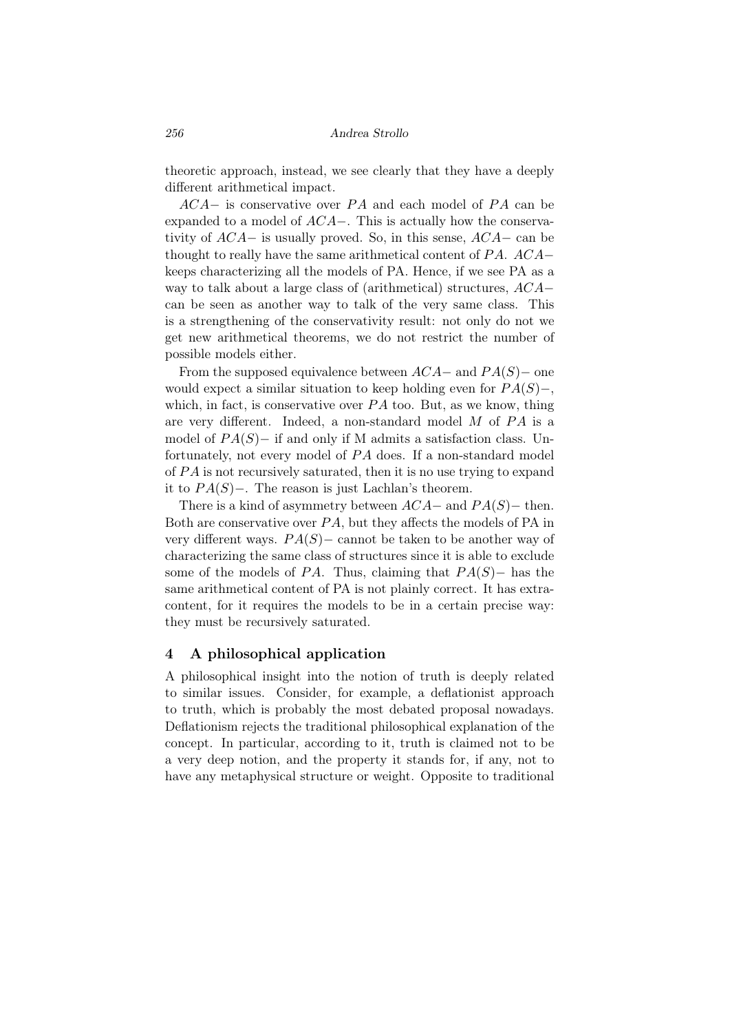theoretic approach, instead, we see clearly that they have a deeply different arithmetical impact.

*ACA*− is conservative over *PA* and each model of *PA* can be expanded to a model of *ACA−*. This is actually how the conservativity of *ACA−* is usually proved. So, in this sense, *ACA−* can be thought to really have the same arithmetical content of *P A*. *ACA−* keeps characterizing all the models of PA. Hence, if we see PA as a way to talk about a large class of (arithmetical) structures, *ACA−* can be seen as another way to talk of the very same class. This is a strengthening of the conservativity result: not only do not we get new arithmetical theorems, we do not restrict the number of possible models either.

From the supposed equivalence between *ACA−* and *P A*(*S*)*−* one would expect a similar situation to keep holding even for *P A*(*S*)*−*, which, in fact, is conservative over *PA* too. But, as we know, thing are very different. Indeed, a non-standard model *M* of *P A* is a model of *P A*(*S*)*−* if and only if M admits a satisfaction class. Unfortunately, not every model of *P A* does. If a non-standard model of *P A* is not recursively saturated, then it is no use trying to expand it to *P A*(*S*)*−*. The reason is just Lachlan's theorem.

There is a kind of asymmetry between *ACA−* and *P A*(*S*)*−* then. Both are conservative over *P A*, but they affects the models of PA in very different ways.  $PA(S)$ – cannot be taken to be another way of characterizing the same class of structures since it is able to exclude some of the models of *P A*. Thus, claiming that *P A*(*S*)*−* has the same arithmetical content of PA is not plainly correct. It has extracontent, for it requires the models to be in a certain precise way: they must be recursively saturated.

## 4 A philosophical application

A philosophical insight into the notion of truth is deeply related to similar issues. Consider, for example, a deflationist approach to truth, which is probably the most debated proposal nowadays. Deflationism rejects the traditional philosophical explanation of the concept. In particular, according to it, truth is claimed not to be a very deep notion, and the property it stands for, if any, not to have any metaphysical structure or weight. Opposite to traditional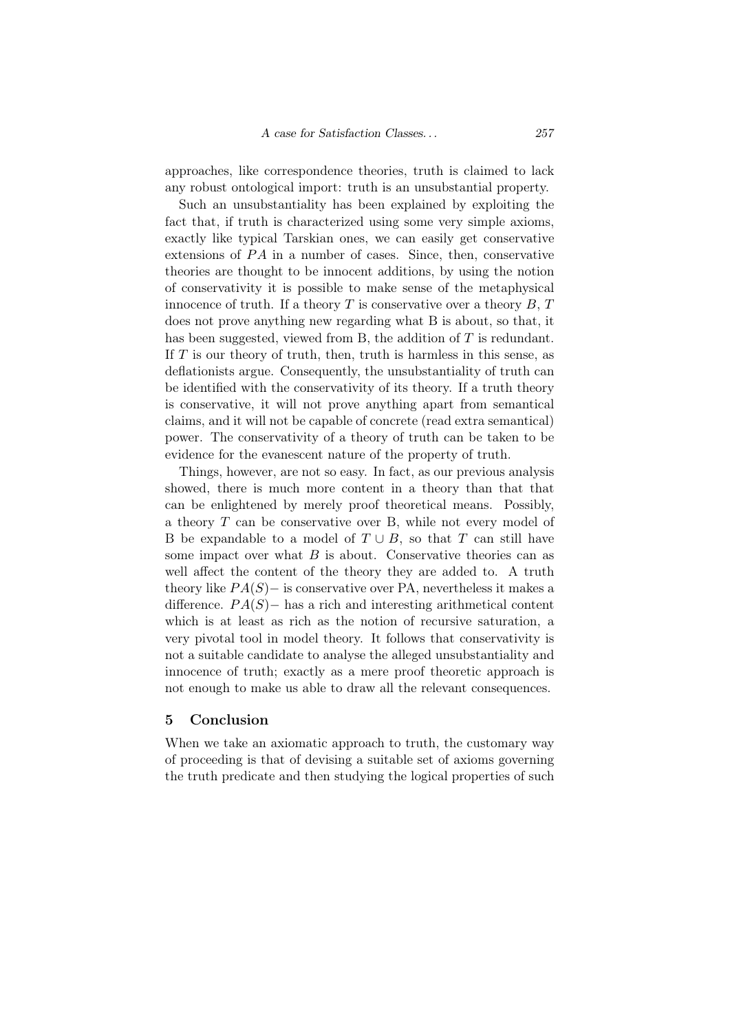approaches, like correspondence theories, truth is claimed to lack any robust ontological import: truth is an unsubstantial property.

Such an unsubstantiality has been explained by exploiting the fact that, if truth is characterized using some very simple axioms, exactly like typical Tarskian ones, we can easily get conservative extensions of *PA* in a number of cases. Since, then, conservative theories are thought to be innocent additions, by using the notion of conservativity it is possible to make sense of the metaphysical innocence of truth. If a theory  $T$  is conservative over a theory  $B, T$ does not prove anything new regarding what B is about, so that, it has been suggested, viewed from B, the addition of *T* is redundant. If *T* is our theory of truth, then, truth is harmless in this sense, as deflationists argue. Consequently, the unsubstantiality of truth can be identified with the conservativity of its theory. If a truth theory is conservative, it will not prove anything apart from semantical claims, and it will not be capable of concrete (read extra semantical) power. The conservativity of a theory of truth can be taken to be evidence for the evanescent nature of the property of truth.

Things, however, are not so easy. In fact, as our previous analysis showed, there is much more content in a theory than that that can be enlightened by merely proof theoretical means. Possibly, a theory *T* can be conservative over B, while not every model of B be expandable to a model of  $T \cup B$ , so that  $T$  can still have some impact over what  $B$  is about. Conservative theories can as well affect the content of the theory they are added to. A truth theory like *P A*(*S*)*−* is conservative over PA, nevertheless it makes a difference. *P A*(*S*)*−* has a rich and interesting arithmetical content which is at least as rich as the notion of recursive saturation, a very pivotal tool in model theory. It follows that conservativity is not a suitable candidate to analyse the alleged unsubstantiality and innocence of truth; exactly as a mere proof theoretic approach is not enough to make us able to draw all the relevant consequences.

### 5 Conclusion

When we take an axiomatic approach to truth, the customary way of proceeding is that of devising a suitable set of axioms governing the truth predicate and then studying the logical properties of such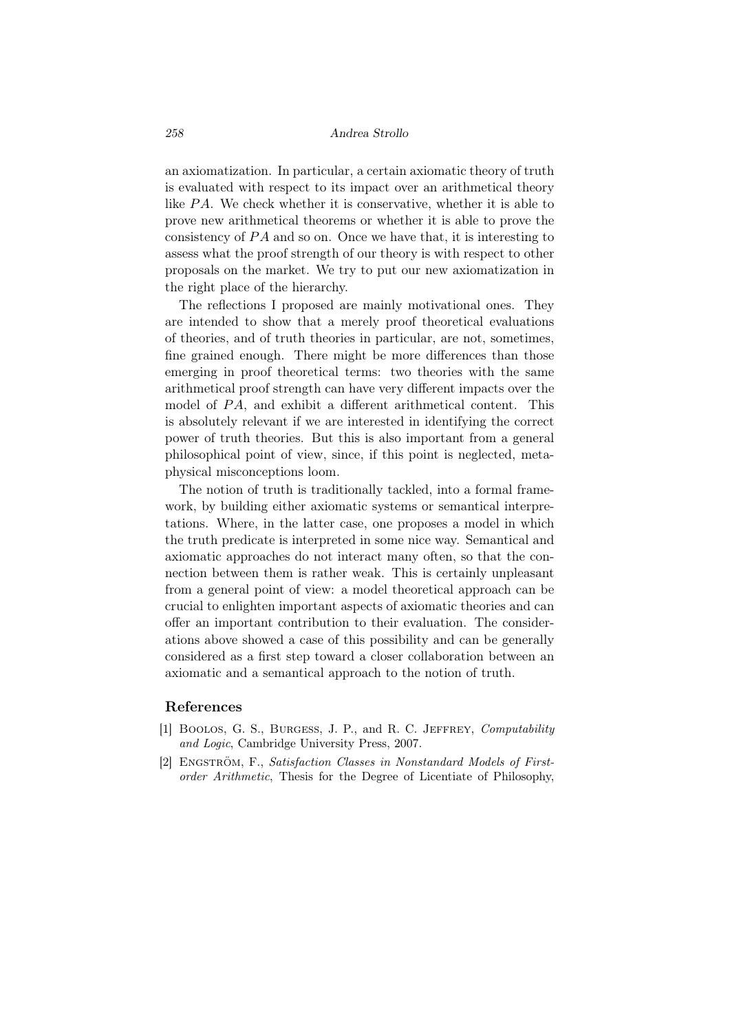#### *258 Andrea Strollo*

an axiomatization. In particular, a certain axiomatic theory of truth is evaluated with respect to its impact over an arithmetical theory like *P A*. We check whether it is conservative, whether it is able to prove new arithmetical theorems or whether it is able to prove the consistency of PA and so on. Once we have that, it is interesting to assess what the proof strength of our theory is with respect to other proposals on the market. We try to put our new axiomatization in the right place of the hierarchy.

The reflections I proposed are mainly motivational ones. They are intended to show that a merely proof theoretical evaluations of theories, and of truth theories in particular, are not, sometimes, fine grained enough. There might be more differences than those emerging in proof theoretical terms: two theories with the same arithmetical proof strength can have very different impacts over the model of *PA*, and exhibit a different arithmetical content. This is absolutely relevant if we are interested in identifying the correct power of truth theories. But this is also important from a general philosophical point of view, since, if this point is neglected, metaphysical misconceptions loom.

The notion of truth is traditionally tackled, into a formal framework, by building either axiomatic systems or semantical interpretations. Where, in the latter case, one proposes a model in which the truth predicate is interpreted in some nice way. Semantical and axiomatic approaches do not interact many often, so that the connection between them is rather weak. This is certainly unpleasant from a general point of view: a model theoretical approach can be crucial to enlighten important aspects of axiomatic theories and can offer an important contribution to their evaluation. The considerations above showed a case of this possibility and can be generally considered as a first step toward a closer collaboration between an axiomatic and a semantical approach to the notion of truth.

## References

- [1] Boolos, G. S., Burgess, J. P., and R. C. Jeffrey, *Computability and Logic*, Cambridge University Press, 2007.
- [2] ENGSTRÖM, F., *Satisfaction Classes in Nonstandard Models of Firstorder Arithmetic*, Thesis for the Degree of Licentiate of Philosophy,